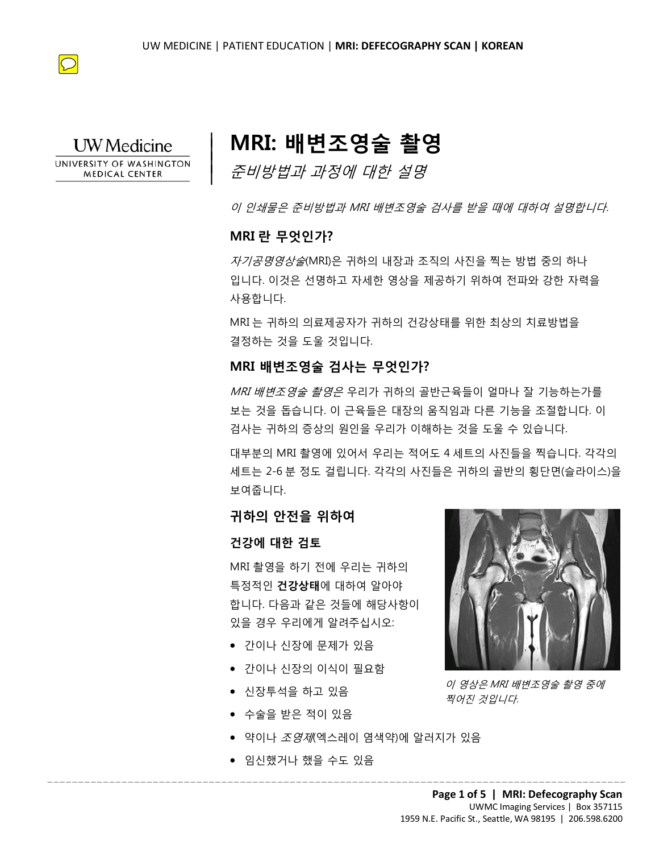



# **MRI: 배변조영술 촬영**

준비방법과 과정에 대한 설명

이 인쇄물은 준비방법과 MRI 배변조영술 검사를 받을 때에 대하여 설명합니다.

### **MRI 란 무엇인가?**

 $\overline{\phantom{a}}$  $\vert$  $\vert$  $\vert$ 

**MRI 란 무엇인가?**<br>*자기공명영상술*(MRI)은 귀하의 내장과 조직의 사진을 찍는 방법 중의 하나<br>입니다. 이것은 선명하고 자세한 영상을 제공하기 위하여 전파와 강한 자력을 *자기공명영상술*(MRI)은 귀하의 내장과 조직의 사진을 찍는 방법 중의 하나 입니다. 이것은 선명하고 자세한 영상을 제공하기 위하여 전파와 강한 자력을 사용합니다.

> MRI 는 귀하의 의료제공자가 귀하의 건강상태를 위한 최상의 치료방법을 결정하는 것을 도울 것입니다.

### **MRI 배변조영술 검사는 무엇인가?**

시승합니다.<br>MRI 는 귀하의 의료제공자가 귀하의 건강상태를 위한 최상의 치료방법을<br>결정하는 것을 도울 것입니다.<br>MRI **배변조영술 검사는 무엇인가?**<br>*MRI 배변조영술 촬영은* 우리가 귀하의 골반근육들이 얼마나 잘 기능하는가<br>*MRI 배변조영술 촬영은* 우리가 귀하의 골반근육들이 얼마나 잘 기능하는가<br>보는 것을 돕습니다. 이 근육들은 대장의 움직임과 다른 기능을 조절합니다.<br><sup>건사느</sup> 귀 들 8위는 것을 포를 것입니다.<br>*MRI 배변조영술 검사는 무엇인가?<br>MRI 배변조영술 촬영은* 우리가 귀하의 골반근육들이 얼마나 잘 기능하는<br>보는 것을 돕습니다. 이 근육들은 대장의 움직임과 다른 기능을 조절합니!<br>검사는 귀하의 증상의 원인을 우리가 이해하는 것을 도울 수 있습니다.<br>대부분의 MRI 촬영에 있어서 우리는 적어도 4 세트의 사진들을 찍습니다.<br>새트는 2-6 분 정도 걸립 MRI 배변조영술 촬영은 우리가 귀하의 골반근육들이 얼마나 잘 기능하는가를 보는 것을 돕습니다. 이 근육들은 대장의 움직임과 다른 기능을 조절합니다. 이 검사는 귀하의 증상의 원인을 우리가 이해하는 것을 도울 수 있습니다.

대부분의 MRI 촬영에 있어서 우리는 적어도 4 세트의 사진들을 찍습니다. 각각의 세트는 2-6 분 정도 걸립니다. 각각의 사진들은 귀하의 골반의 횡단면(슬라이스)을 보여줍니다.

### **귀하의 안전을 위하여**

#### **건강에 대한 검토**

MRI 촬영을 하기 전에 우리는 귀하의 특정적인 **건강상태**에 대하여 알아야 합니다. 다음과 같은 것들에 해당사항이 있을 경우 우리에게 알려주십시오:

- 간이나 신장에 문제가 있음
- 간이나 신장의 이식이 필요함
- 신장투석을 하고 있음
- 수술을 받은 적이 있음
- $\bullet$  약이나 *조영제*(엑스레이 염색약)에 알러지가 있음

 $\_$  ,  $\_$  ,  $\_$  ,  $\_$  ,  $\_$  ,  $\_$  ,  $\_$  ,  $\_$  ,  $\_$  ,  $\_$  ,  $\_$  ,  $\_$  ,  $\_$  ,  $\_$  ,  $\_$  ,  $\_$  ,  $\_$  ,  $\_$  ,  $\_$  ,  $\_$  ,  $\_$  ,  $\_$  ,  $\_$  ,  $\_$  ,  $\_$  ,  $\_$  ,  $\_$  ,  $\_$  ,  $\_$  ,  $\_$  ,  $\_$  ,  $\_$  ,  $\_$  ,  $\_$  ,  $\_$  ,  $\_$  ,  $\_$  ,

• 임신했거나 했을 수도 있음



이 영상은 MRI 배변조영술 촬영 중에 찍어진 것입니다.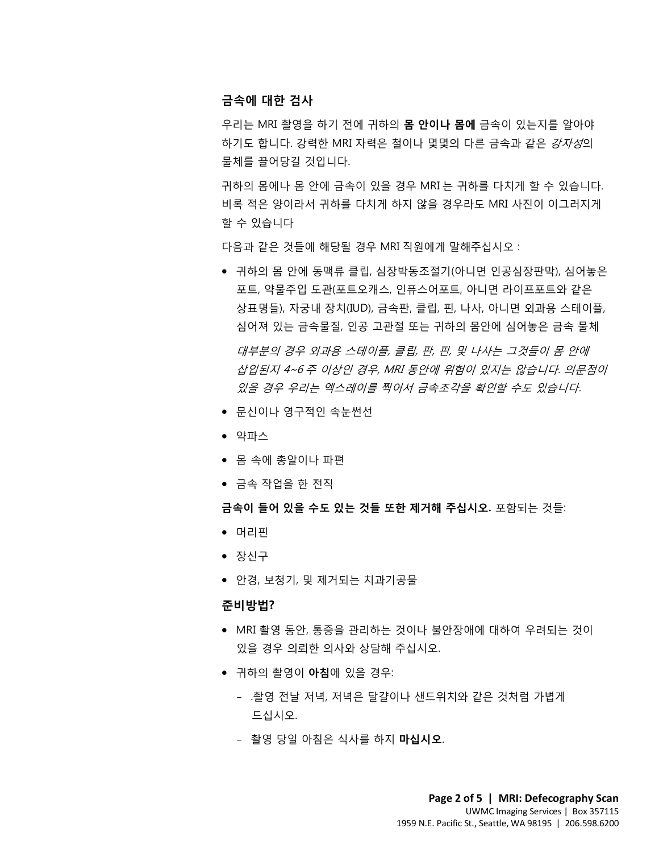#### **금속에 대한 검사**

우리는 MRI 촬영을 하기 전에 귀하의 **몸 안이나 몸에** 금속이 있는지를 알아야 하기도 합니다. 강력한 MRI 자력은 철이나 몇몇의 다른 금속과 같은 강자성의 물체를 끌어당길 것입니다.

귀하의 몸에나 몸 안에 금속이 있을 경우 MRI 는 귀하를 다치게 할 수 있습니다. 비록 적은 양이라서 귀하를 다치게 하지 않을 경우라도 MRI 사진이 이그러지게 할 수 있습니다

다음과 같은 것들에 해당될 경우 MRI 직원에게 말해주십시오 :

- DRAFT 나음과 같은 것들에 해당될 경우 MRI 식원에게 말해수십시오 :<br>• 귀하의 몸 안에 동맥류 클립, 심장박동조절기(아니면 인공심장판막), 심어놓은<br>포트, 약물주입 도관(포트오캐스, 인퓨스어포트, 아니면 라이프포트와 같은<br>사표면들\ 자국내 장치(FUN) 극소판 클립 피 나사 아니면 이과요 스텐이플 *삽입된지 4~6 주 이상인 경우, MRI 동안에 위험이 있지는 않습니다. 의문짐<br>있을 <i>경우 우리는 엑스레이를 찍어서 금속조각을 확인할 수도 있습니다.*<br>● 문신이나 영구적인 속눈썬선<br>● 약파스<br>● 몸 속에 총알이나 파편 • 귀하의 몸 안에 동맥류 클립, 심장박동조절기(아니면 인공심장판막), 심어놓은 포트, 약물주입 도관(포트오캐스, 인퓨스어포트, 아니면 라이프포트와 같은 상표명들), 자궁내 장치(IUD), 금속판, 클립, 핀, 나사, 아니면 외과용 스테이플, 심어져 있는 금속물질, 인공 고관절 또는 귀하의 몸안에 심어놓은 금속 물체 대부분의 경우 외과용 스테이플, 클립, 판, 핀, 및 나사는 그것들이 몸 안에 삽입된지 4~6 주 이상인 경우, MRI 동안에 위험이 있지는 않습니다. 의문점이 있을 경우 우리는 엑스레이를 찍어서 금속조각을 확인할 수도 있습니다.
	- 문신이나 영구적인 속눈썬선
	- 약파스
	- 몸 속에 총알이나 파편
	- 금속 작업을 한 전직

**금속이 들어 있을 수도 있는 것들 또한 제거해 주십시오.** 포함되는 것들:

- 머리핀
- 장신구
- 안경, 보청기, 및 제거되는 치과기공물

#### **준비방법?**

- MRI 촬영 동안, 통증을 관리하는 것이나 불안장애에 대하여 우려되는 것이 있을 경우 의뢰한 의사와 상담해 주십시오.
- 귀하의 촬영이 **아침**에 있을 경우:
	- .촬영 전날 저녁, 저녁은 달걀이나 샌드위치와 같은 것처럼 가볍게 드십시오.
	- 촬영 당일 아침은 식사를 하지 **마십시오**.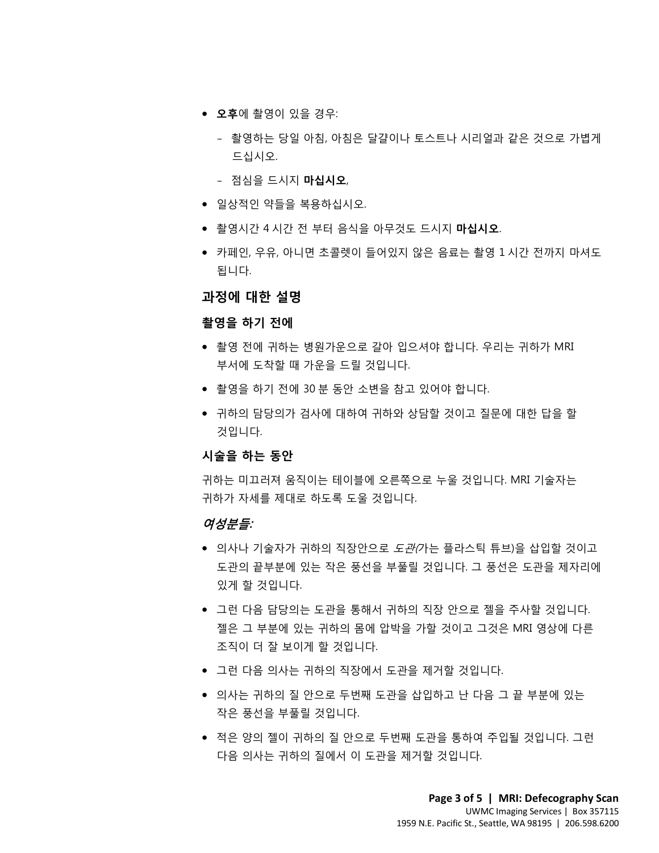- **오후**에 촬영이 있을 경우:
	- 촬영하는 당일 아침, 아침은 달걀이나 토스트나 시리얼과 같은 것으로 가볍게 드십시오.
	- 점심을 드시지 **마십시오**,
- 일상적인 약들을 복용하십시오.
- 촬영시간 4 시간 전 부터 음식을 아무것도 드시지 **마십시오**.
- 카페인, 우유, 아니면 초콜렛이 들어있지 않은 음료는 촬영 1 시간 전까지 마셔도<br>됩니다.<br>**과정에 대한 설명** 됩니다.

**과정에 대한 설명**

#### **촬영을 하기 전에**

- **촬영을 하기 전에**<br>• 촬영 전에 귀하는 병원가운으로 갈아 입으셔야 합니다. 우리는 귀하가 MRI<br>부서에 도착할 때 가운을 드릴 것입니다.<br>• 촬영을 하기 전에 30 분 동안 소변을 참고 있어야 합니다.<br>• 귀하의 담당의가 검사에 대하여 귀하와 상담할 것이고 질문에 대한 답을 할<br>것입니다. • 촬영 전에 귀하는 병원가운으로 갈아 입으셔야 합니다. 우리는 귀하가 MRI 부서에 도착할 때 가운을 드릴 것입니다.
	- 촬영을 하기 전에 30 분 동안 소변을 참고 있어야 합니다.
- 부서에 도착할 때 가운을 드릴 것입니다.<br>• 촬영을 하기 전에 30 분 동안 소변을 참고 있어야 합니다.<br>• 귀하의 담당의가 검사에 대하여 귀하와 상담할 것이고 질문에 대한 답을 할<br>것입니다.<br>**시술을 하는 동안**<br>귀하는 미끄러져 움직이는 테이블에 오른쪽으로 누울 것입니다. MRI 기술자는 • 귀하의 담당의가 검사에 대하여 귀하와 상담할 것이고 질문에 대한 답을 할 것입니다.

#### **시술을 하는 동안**

귀하는 미끄러져 움직이는 테이블에 오른쪽으로 누울 것입니다. MRI 기술자는 귀하가 자세를 제대로 하도록 도울 것입니다.

#### 여성분들:

- 의사나 기술자가 귀하의 직장안으로 *도관(*가는 플라스틱 튜브)을 삽입할 것이고 도관의 끝부분에 있는 작은 풍선을 부풀릴 것입니다. 그 풍선은 도관을 제자리에 있게 할 것입니다.
- 그런 다음 담당의는 도관을 통해서 귀하의 직장 안으로 젤을 주사할 것입니다. 젤은 그 부분에 있는 귀하의 몸에 압박을 가할 것이고 그것은 MRI 영상에 다른 조직이 더 잘 보이게 할 것입니다.
- 그런 다음 의사는 귀하의 직장에서 도관을 제거할 것입니다.

- 의사는 귀하의 질 안으로 두번째 도관을 삽입하고 난 다음 그 끝 부분에 있는 작은 풍선을 부풀릴 것입니다.
- 적은 양의 젤이 귀하의 질 안으로 두번째 도관을 통하여 주입될 것입니다. 그런 다음 의사는 귀하의 질에서 이 도관을 제거할 것입니다.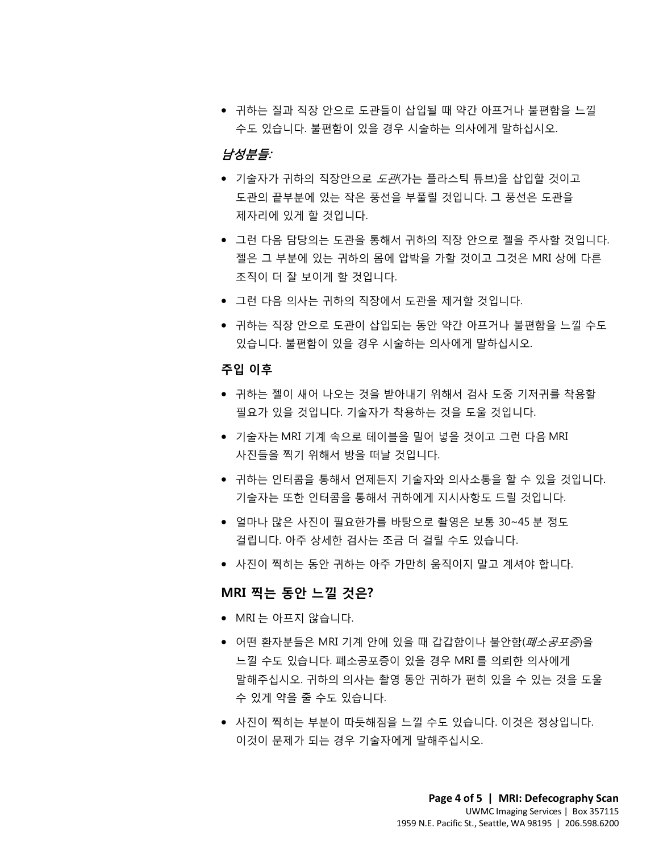• 귀하는 질과 직장 안으로 도관들이 삽입될 때 약간 아프거나 불편함을 느낄 수도 있습니다. 불편함이 있을 경우 시술하는 의사에게 말하십시오.

### 남성분들:

- 기술자가 귀하의 직장안으로 *도관*(가는 플라스틱 튜브)을 삽입할 것이고 도관의 끝부분에 있는 작은 풍선을 부풀릴 것입니다. 그 풍선은 도관을 제자리에 있게 할 것입니다.
- TRANSLATION • 그런 다음 담당의는 도관을 통해서 귀하의 직장 안으로 젤을 주사할 것입니다. 젤은 그 부분에 있는 귀하의 몸에 압박을 가할 것이고 그것은 MRI 상에 다른 조직이 더 잘 보이게 할 것입니다.
	- 그런 다음 의사는 귀하의 직장에서 도관을 제거할 것입니다.
	- 귀하는 직장 안으로 도관이 삽입되는 동안 약간 아프거나 불편함을 느낄 수도<br>있습니다. 불편함이 있을 경우 시술하는 의사에게 말하십시오.<br>**주입 이후**<br>• 귀하는 젤이 새어 나오는 것을 받아내기 위해서 검사 도중 기저귀를 착용할<br>필요가 있을 것입니다. 기술자가 착용하는 것을 도울 것입니다.<br>• 기술자는 MRI 기계 속으로 테이블을 밀어 넣을 것이고 그런 다음 MRI • 귀하는 직장 안으로 도관이 삽입되는 동안 약간 아프거나 불편함을 느낄 수도 있습니다. 불편함이 있을 경우 시술하는 의사에게 말하십시오.

#### **주입 이후**

- **주입 이후**<br>• 귀하는 젤이 새어 나오는 것을 받아내기 위해서 검사 도중 기저귀를 착용힐<br>필요가 있을 것입니다. 기술자가 착용하는 것을 도울 것입니다.<br>• 기술자는 MRI 기계 속으로 테이블을 밀어 넣을 것이고 그런 다음 MRI<br>사진들을 찍기 위해서 방을 떠날 것입니다.<br>• 귀하는 인터콤을 통해서 언제든지 기술자와 의사소통을 할 수 있을 것입니 • 귀하는 젤이 새어 나오는 것을 받아내기 위해서 검사 도중 기저귀를 착용할 필요가 있을 것입니다. 기술자가 착용하는 것을 도울 것입니다.
	- 기술자는 MRI 기계 속으로 테이블을 밀어 넣을 것이고 그런 다음 MRI 사진들을 찍기 위해서 방을 떠날 것입니다.
	- 귀하는 인터콤을 통해서 언제든지 기술자와 의사소통을 할 수 있을 것입니다. 기술자는 또한 인터콤을 통해서 귀하에게 지시사항도 드릴 것입니다.
	- 얼마나 많은 사진이 필요한가를 바탕으로 촬영은 보통 30~45 분 정도 걸립니다. 아주 상세한 검사는 조금 더 걸릴 수도 있습니다.
	- 사진이 찍히는 동안 귀하는 아주 가만히 움직이지 말고 계셔야 합니다.

### **MRI 찍는 동안 느낄 것은?**

- MRI 는 아프지 않습니다.
- 어떤 환자분들은 MRI 기계 안에 있을 때 갑갑함이나 불안함(*폐소공포증*)을 느낄 수도 있습니다. 폐소공포증이 있을 경우 MRI 를 의뢰한 의사에게 말해주십시오. 귀하의 의사는 촬영 동안 귀하가 편히 있을 수 있는 것을 도울 수 있게 약을 줄 수도 있습니다.
- 사진이 찍히는 부분이 따듯해짐을 느낄 수도 있습니다. 이것은 정상입니다. 이것이 문제가 되는 경우 기술자에게 말해주십시오.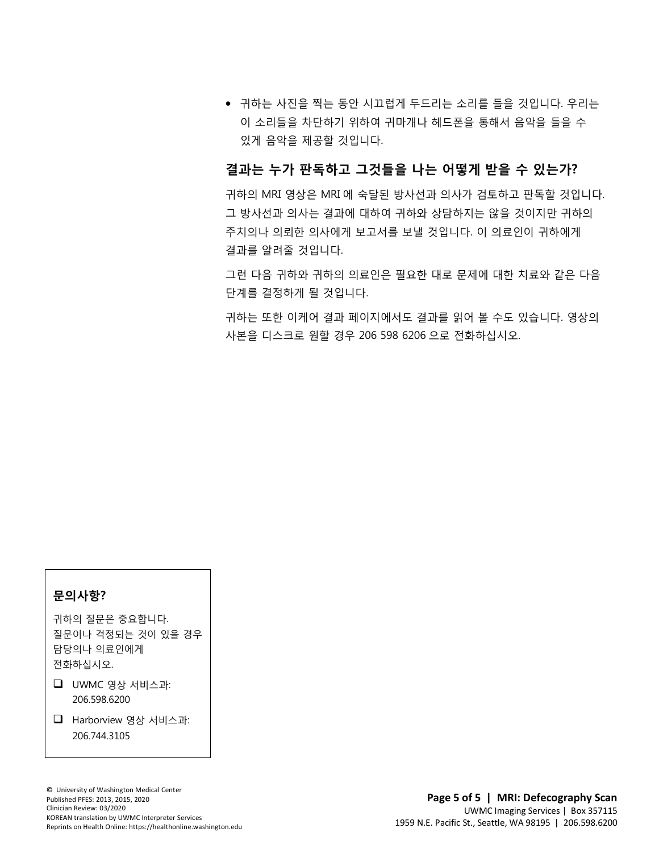• 귀하는 사진을 찍는 동안 시끄럽게 두드리는 소리를 들을 것입니다. 우리는 이 소리들을 차단하기 위하여 귀마개나 헤드폰을 통해서 음악을 들을 수 있게 음악을 제공할 것입니다.

### **결과는 누가 판독하고 그것들을 나는 어떻게 받을 수 있는가?**

귀하의 MRI 영상은 MRI 에 숙달된 방사선과 의사가 검토하고 판독할 것입니다. 그 방사선과 의사는 결과에 대하여 귀하와 상담하지는 않을 것이지만 귀하의 주치의나 의뢰한 의사에게 보고서를 보낼 것입니다. 이 의료인이 귀하에게 결과를 알려줄 것입니다.

결과를 알려줄 것입니다.<br>그런 다음 귀하와 귀하의 의료인은 필요한 대로 문제에 대한 치료와 같은 다음<br>단계를 결정하게 될 것입니다. 그런 다음 귀하와 귀하의 의료인은 필요한 대로 문제에 대한 치료와 같은 다음 단계를 결정하게 될 것입니다.

귀하는 또한 이케어 결과 페이지에서도 결과를 읽어 볼 수도 있습니다. 영상의<br>사본을 디스크로 원할 경우 206 598 6206 으로 전화하십시오.<br><br><br><br><br>-귀하는 또한 이케어 결과 페이지에서도 결과를 읽어 볼 수도 있습니다. 영상의 사본을 디스크로 원할 경우 206 598 6206 으로 전화하십시오.

 $\bot$  , and the state of the state of the state of the state of the state of the state of the state of the state of the state of the state of the state of the state of the state of the state of the state of the state of th

#### **문의사항?**

귀하의 질문은 중요합니다. 질문이나 걱정되는 것이 있을 경우 담당의나 의료인에게 전화하십시오.

- $\Box$  UWMC 영상 서비스과: 206.598.6200
- Harborview 영상 서비스과: 206.744.3105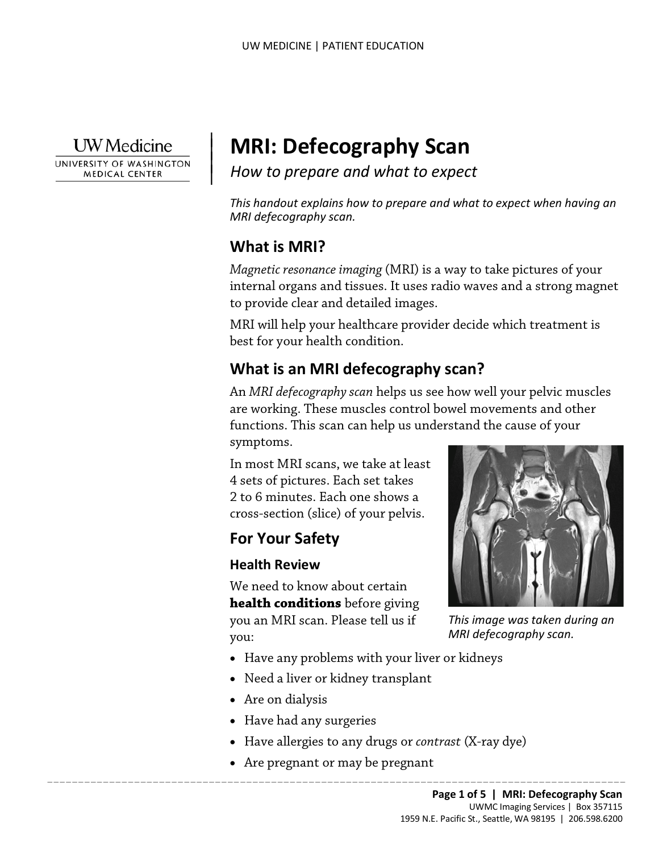

UNIVERSITY OF WASHINGTON **MEDICAL CENTER** 

# **MRI: Defecography Scan**

*How to prepare and what to expect*

*This handout explains how to prepare and what to expect when having an MRI defecography scan.*

# **What is MRI?**

 $\overline{\phantom{a}}$  $\vert$  $\vert$  $\vert$ 

> *Magnetic resonance imaging* (MRI) is a way to take pictures of your internal organs and tissues. It uses radio waves and a strong magnet to provide clear and detailed images.

MRI will help your healthcare provider decide which treatment is best for your health condition.

# **What is an MRI defecography scan?**

to provide clear and detailed images.<br>
MRI will help your healthcare provider decide which treatment i<br>
best for your health condition.<br> **What is an MRI defecography scan?**<br>
An *MRI defecography scan* helps us see how well An *MRI defecography scan* helps us see how well your pelvic muscles are working. These muscles control bowel movements and other functions. This scan can help us understand the cause of your symptoms.

> In most MRI scans, we take at least 4 sets of pictures. Each set takes 2 to 6 minutes. Each one shows a cross-section (slice) of your pelvis.

# **For Your Safety**

### **Health Review**

We need to know about certain **health conditions** before giving you an MRI scan. Please tell us if you:

- Have any problems with your liver or kidneys
- Need a liver or kidney transplant
- Are on dialysis
- Have had any surgeries
- Have allergies to any drugs or *contrast* (X-ray dye)
- Are pregnant or may be pregnant



*This image was taken during an MRI defecography scan.*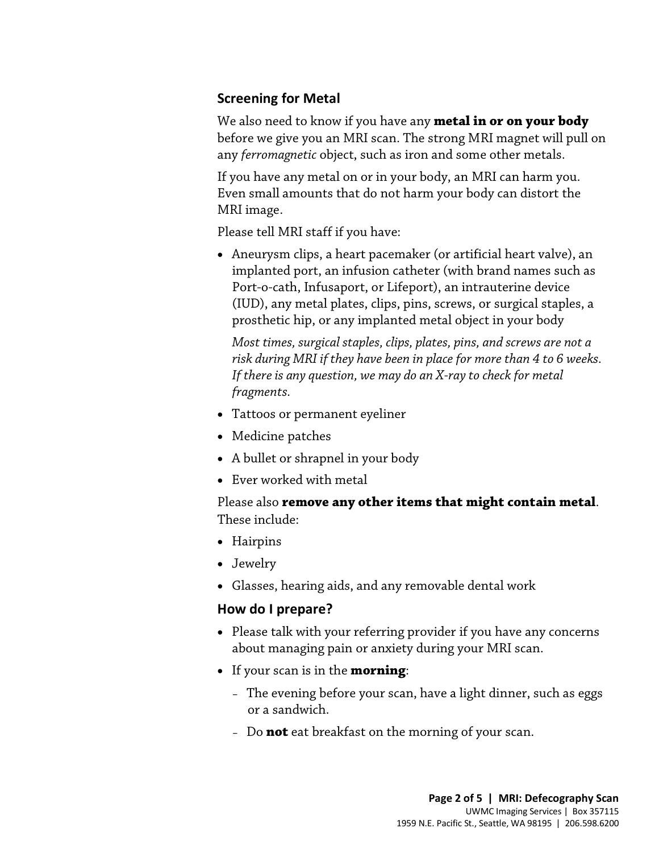### **Screening for Metal**

We also need to know if you have any **metal in or on your body** before we give you an MRI scan. The strong MRI magnet will pull on any *ferromagnetic* object, such as iron and some other metals.

If you have any metal on or in your body, an MRI can harm you. Even small amounts that do not harm your body can distort the MRI image.

Please tell MRI staff if you have:

• Aneurysm clips, a heart pacemaker (or artificial heart valve), an implanted port, an infusion catheter (with brand names such as Port-o-cath, Infusaport, or Lifeport), an intrauterine device (IUD), any metal plates, clips, pins, screws, or surgical staples, a prosthetic hip, or any implanted metal object in your body

prosthetic hip, or any implanted metal object in your body<br>
Most times, surgical staples, clips, plates, pins, and screws are not a<br>
risk during MRI if they have been in place for more than 4 to 6 weeks.<br>
If there is any q *Most times, surgical staples, clips, plates, pins, and screws are not a risk during MRI if they have been in place for more than 4 to 6 weeks. If there is any question, we may do an X-ray to check for metal fragments.* 

- Tattoos or permanent eyeliner
- Medicine patches
- A bullet or shrapnel in your body
- Ever worked with metal

Please also **remove any other items that might contain metal**. These include:

- Hairpins
- Jewelry
- Glasses, hearing aids, and any removable dental work

### **How do I prepare?**

- Please talk with your referring provider if you have any concerns about managing pain or anxiety during your MRI scan.
- If your scan is in the **morning**:

- The evening before your scan, have a light dinner, such as eggs or a sandwich.
- Do **not** eat breakfast on the morning of your scan.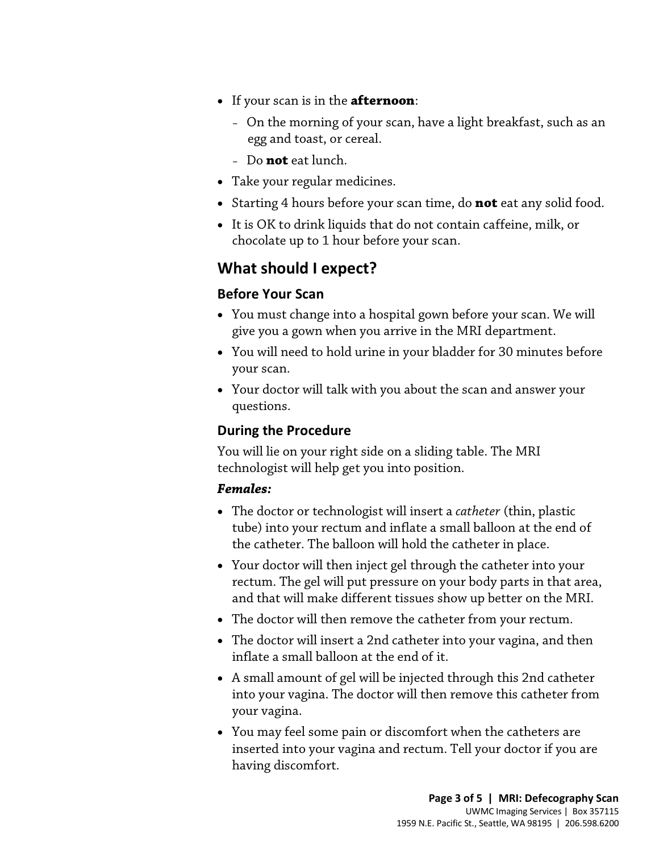- If your scan is in the **afternoon**:
	- On the morning of your scan, have a light breakfast, such as an egg and toast, or cereal.
	- Do **not** eat lunch.
- Take your regular medicines.
- Starting 4 hours before your scan time, do **not** eat any solid food.
- It is OK to drink liquids that do not contain caffeine, milk, or chocolate up to 1 hour before your scan.

# **What should I expect?**

### **Before Your Scan**

- You must change into a hospital gown before your scan. We will give you a gown when you arrive in the MRI department.
- You must change into a hospital gown before your scan. We will<br>give you a gown when you arrive in the MRI department.<br>• You will need to hold urine in your bladder for 30 minutes before<br>your scan.<br>• Your doctor will talk • You will need to hold urine in your bladder for 30 minutes before your scan.
	- Your doctor will talk with you about the scan and answer your questions.

## **During the Procedure**

You will lie on your right side on a sliding table. The MRI technologist will help get you into position.

### *Females:*

- The doctor or technologist will insert a *catheter* (thin, plastic tube) into your rectum and inflate a small balloon at the end of the catheter. The balloon will hold the catheter in place.
- Your doctor will then inject gel through the catheter into your rectum. The gel will put pressure on your body parts in that area, and that will make different tissues show up better on the MRI.
- The doctor will then remove the catheter from your rectum.
- The doctor will insert a 2nd catheter into your vagina, and then inflate a small balloon at the end of it.
- A small amount of gel will be injected through this 2nd catheter into your vagina. The doctor will then remove this catheter from your vagina.
- You may feel some pain or discomfort when the catheters are inserted into your vagina and rectum. Tell your doctor if you are having discomfort.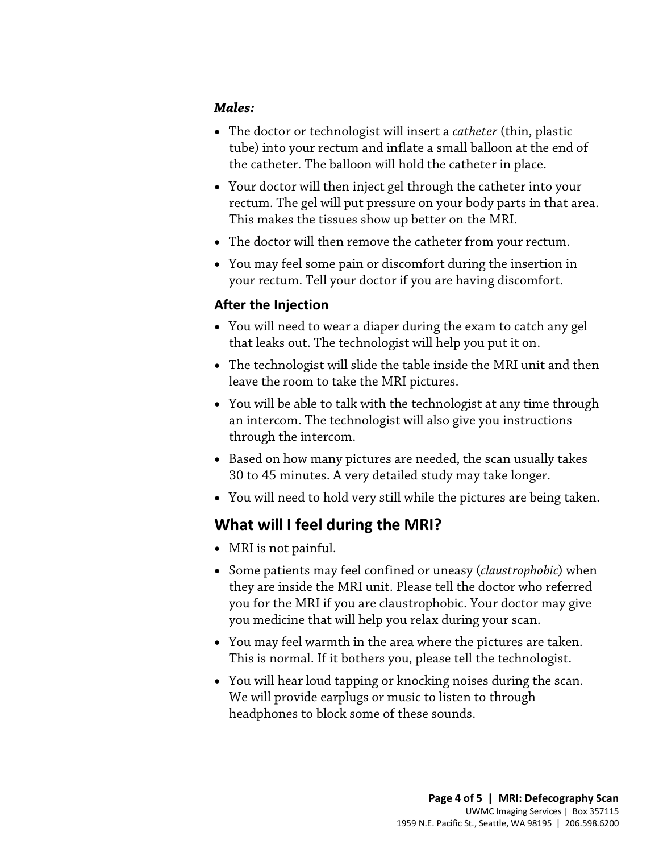### *Males:*

- The doctor or technologist will insert a *catheter* (thin, plastic tube) into your rectum and inflate a small balloon at the end of the catheter. The balloon will hold the catheter in place.
- Your doctor will then inject gel through the catheter into your rectum. The gel will put pressure on your body parts in that area. This makes the tissues show up better on the MRI.
- The doctor will then remove the catheter from your rectum.
- You may feel some pain or discomfort during the insertion in your rectum. Tell your doctor if you are having discomfort.

### **After the Injection**

- You will need to wear a diaper during the exam to catch any gel that leaks out. The technologist will help you put it on.
- The technologist will slide the table inside the MRI unit and then leave the room to take the MRI pictures.
- You will need to wear a diaper during the exam to catch any gel<br>that leaks out. The technologist will help you put it on.<br>• The technologist will slide the table inside the MRI unit and then<br>leave the room to take the MR • You will be able to talk with the technologist at any time through an intercom. The technologist will also give you instructions through the intercom.
	- Based on how many pictures are needed, the scan usually takes 30 to 45 minutes. A very detailed study may take longer.
	- You will need to hold very still while the pictures are being taken.

# **What will I feel during the MRI?**

- MRI is not painful.
- Some patients may feel confined or uneasy (*claustrophobic*) when they are inside the MRI unit. Please tell the doctor who referred you for the MRI if you are claustrophobic. Your doctor may give you medicine that will help you relax during your scan.
- You may feel warmth in the area where the pictures are taken. This is normal. If it bothers you, please tell the [technologist.](javascript:glossAry()
- You will hear loud tapping or knocking noises during the scan. We will provide earplugs or music to listen to through headphones to block some of these sounds.